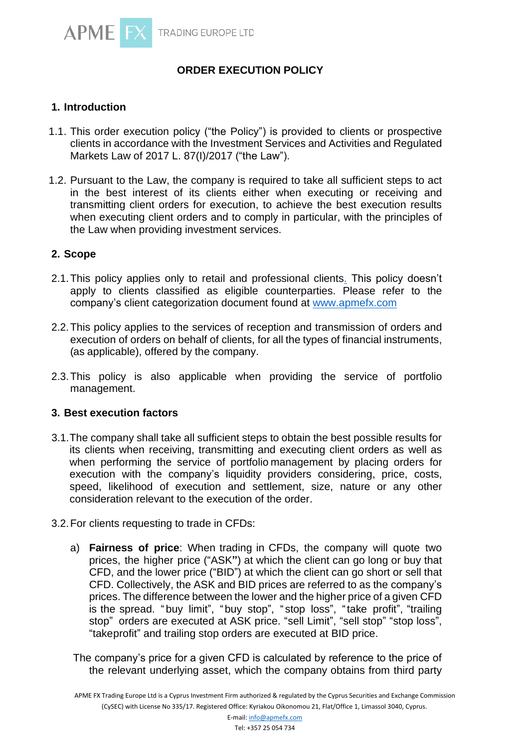

# **ORDER EXECUTION POLICY**

# **1. Introduction**

- 1.1. This order execution policy ("the Policy") is provided to clients or prospective clients in accordance with the Investment Services and Activities and Regulated Markets Law of 2017 L. 87(I)/2017 ("the Law").
- 1.2. Pursuant to the Law, the company is required to take all sufficient steps to act in the best interest of its clients either when executing or receiving and transmitting client orders for execution, to achieve the best execution results when executing client orders and to comply in particular, with the principles of the Law when providing investment services.

# **2. Scope**

- 2.1.This policy applies only to retail and professional clients. This policy doesn't apply to clients classified as eligible counterparties. Please refer to the company's client categorization document found at [www.apmefx.com](http://www.apmefx.com/)
- 2.2.This policy applies to the services of reception and transmission of orders and execution of orders on behalf of clients, for all the types of financial instruments, (as applicable), offered by the company.
- 2.3.This policy is also applicable when providing the service of portfolio management.

# **3. Best execution factors**

- 3.1.The company shall take all sufficient steps to obtain the best possible results for its clients when receiving, transmitting and executing client orders as well as when performing the service of portfolio management by placing orders for execution with the company's liquidity providers considering, price, costs, speed, likelihood of execution and settlement, size, nature or any other consideration relevant to the execution of the order.
- 3.2.For clients requesting to trade in CFDs:
	- a) **Fairness of price**: When trading in CFDs, the company will quote two prices, the higher price ("ASK**"**) at which the client can go long or buy that CFD, and the lower price ("BID") at which the client can go short or sell that CFD. Collectively, the ASK and BID prices are referred to as the company's prices. The difference between the lower and the higher price of a given CFD is the spread. "buy limit", "buy stop", " stop loss", "take profit", "trailing stop" orders are executed at ASK price. "sell Limit", "sell stop" "stop loss", "take profit" and trailing stop orders are executed at BID price.

The company's price for a given CFD is calculated by reference to the price of the relevant underlying asset, which the company obtains from third party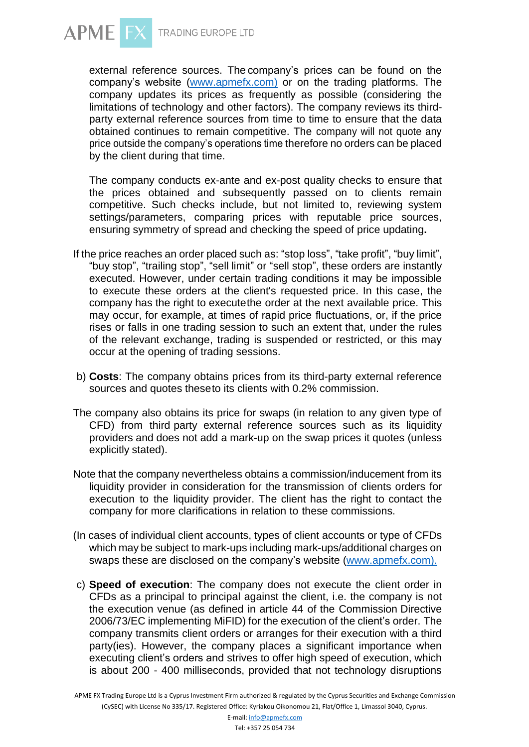

external reference sources. The company's prices can be found on the company's website [\(www.apmefx.com\)](http://www.apmefx.com/) or on the trading platforms. The company updates its prices as frequently as possible (considering the limitations of technology and other factors). The company reviews its thirdparty external reference sources from time to time to ensure that the data obtained continues to remain competitive. The company will not quote any price outside the company's operations time therefore no orders can be placed by the client during that time.

The company conducts ex-ante and ex-post quality checks to ensure that the prices obtained and subsequently passed on to clients remain competitive. Such checks include, but not limited to, reviewing system settings/parameters, comparing prices with reputable price sources, ensuring symmetry of spread and checking the speed of price updating**.**

- If the price reaches an order placed such as: "stop loss", "take profit", "buy limit", "buy stop", "trailing stop", "sell limit" or "sell stop", these orders are instantly executed. However, under certain trading conditions it may be impossible to execute these orders at the client's requested price. In this case, the company has the right to executethe order at the next available price. This may occur, for example, at times of rapid price fluctuations, or, if the price rises or falls in one trading session to such an extent that, under the rules of the relevant exchange, trading is suspended or restricted, or this may occur at the opening of trading sessions.
- b) **Costs**: The company obtains prices from its third-party external reference sources and quotes theseto its clients with 0.2% commission.
- The company also obtains its price for swaps (in relation to any given type of CFD) from third party external reference sources such as its liquidity providers and does not add a mark-up on the swap prices it quotes (unless explicitly stated).
- Note that the company nevertheless obtains a commission/inducement from its liquidity provider in consideration for the transmission of clients orders for execution to the liquidity provider. The client has the right to contact the company for more clarifications in relation to these commissions.
- (In cases of individual client accounts, types of client accounts or type of CFDs which may be subject to mark-ups including mark-ups/additional charges on swaps these are disclosed on the company's website [\(www.apmefx.com\).](http://www.apmefx.com)./)
- c) **Speed of execution**: The company does not execute the client order in CFDs as a principal to principal against the client, i.e. the company is not the execution venue (as defined in article 44 of the Commission Directive 2006/73/EC implementing MiFID) for the execution of the client's order. The company transmits client orders or arranges for their execution with a third party(ies). However, the company places a significant importance when executing client's orders and strives to offer high speed of execution, which is about 200 - 400 milliseconds, provided that not technology disruptions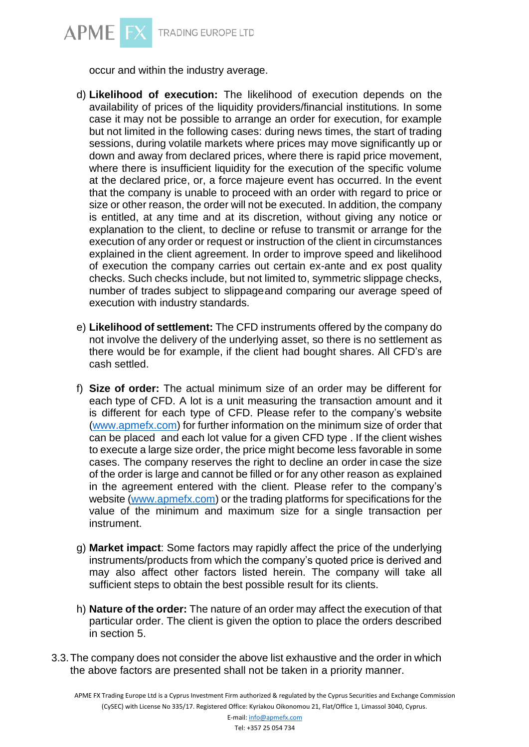

occur and within the industry average.

- d) **Likelihood of execution:** The likelihood of execution depends on the availability of prices of the liquidity providers/financial institutions. In some case it may not be possible to arrange an order for execution, for example but not limited in the following cases: during news times, the start of trading sessions, during volatile markets where prices may move significantly up or down and away from declared prices, where there is rapid price movement, where there is insufficient liquidity for the execution of the specific volume at the declared price, or, a force majeure event has occurred. In the event that the company is unable to proceed with an order with regard to price or size or other reason, the order will not be executed. In addition, the company is entitled, at any time and at its discretion, without giving any notice or explanation to the client, to decline or refuse to transmit or arrange for the execution of any order or request or instruction of the client in circumstances explained in the client agreement. In order to improve speed and likelihood of execution the company carries out certain ex-ante and ex post quality checks. Such checks include, but not limited to, symmetric slippage checks, number of trades subject to slippageand comparing our average speed of execution with industry standards.
- e) **Likelihood of settlement:** The CFD instruments offered by the company do not involve the delivery of the underlying asset, so there is no settlement as there would be for example, if the client had bought shares. All CFD's are cash settled.
- f) **Size of order:** The actual minimum size of an order may be different for each type of CFD. A lot is a unit measuring the transaction amount and it is different for each type of CFD. Please refer to the company's website [\(www.apmefx.com\)](http://www.apmefx.com/) for further information on the minimum size of order that can be placed and each lot value for a given CFD type . If the client wishes to execute a large size order, the price might become less favorable in some cases. The company reserves the right to decline an order in case the size of the order is large and cannot be filled or for any other reason as explained in the agreement entered with the client. Please refer to the company's website [\(www.apmefx.com\)](http://www.apmefx.com/) or the trading platforms for specifications for the value of the minimum and maximum size for a single transaction per instrument.
- g) **Market impact**: Some factors may rapidly affect the price of the underlying instruments/products from which the company's quoted price is derived and may also affect other factors listed herein. The company will take all sufficient steps to obtain the best possible result for its clients.
- h) **Nature of the order:** The nature of an order may affect the execution of that particular order. The client is given the option to place the orders described in section 5.
- 3.3.The company does not consider the above list exhaustive and the order in which the above factors are presented shall not be taken in a priority manner.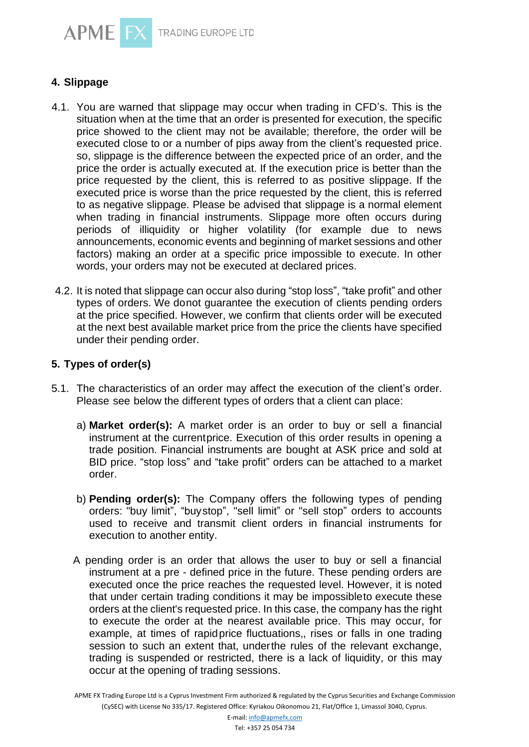



- 4.1. You are warned that slippage may occur when trading in CFD's. This is the situation when at the time that an order is presented for execution, the specific price showed to the client may not be available; therefore, the order will be executed close to or a number of pips away from the client's requested price. so, slippage is the difference between the expected price of an order, and the price the order is actually executed at. If the execution price is better than the price requested by the client, this is referred to as positive slippage. If the executed price is worse than the price requested by the client, this is referred to as negative slippage. Please be advised that slippage is a normal element when trading in financial instruments. Slippage more often occurs during periods of illiquidity or higher volatility (for example due to news announcements, economic events and beginning of market sessions and other factors) making an order at a specific price impossible to execute. In other words, your orders may not be executed at declared prices.
- 4.2. It is noted that slippage can occur also during "stop loss", "take profit" and other types of orders. We donot guarantee the execution of clients pending orders at the price specified. However, we confirm that clients order will be executed at the next best available market price from the price the clients have specified under their pending order.

# **5. Types of order(s)**

- 5.1. The characteristics of an order may affect the execution of the client's order. Please see below the different types of orders that a client can place:
	- a) **Market order(s):** A market order is an order to buy or sell a financial instrument at the currentprice. Execution of this order results in opening a trade position. Financial instruments are bought at ASK price and sold at BID price. "stop loss" and "take profit" orders can be attached to a market order.
	- b) **Pending order(s):** The Company offers the following types of pending orders: "buy limit", "buystop", "sell limit" or "sell stop" orders to accounts used to receive and transmit client orders in financial instruments for execution to another entity.
	- A pending order is an order that allows the user to buy or sell a financial instrument at a pre - defined price in the future. These pending orders are executed once the price reaches the requested level. However, it is noted that under certain trading conditions it may be impossibleto execute these orders at the client's requested price. In this case, the company has the right to execute the order at the nearest available price. This may occur, for example, at times of rapidprice fluctuations,, rises or falls in one trading session to such an extent that, underthe rules of the relevant exchange, trading is suspended or restricted, there is a lack of liquidity, or this may occur at the opening of trading sessions.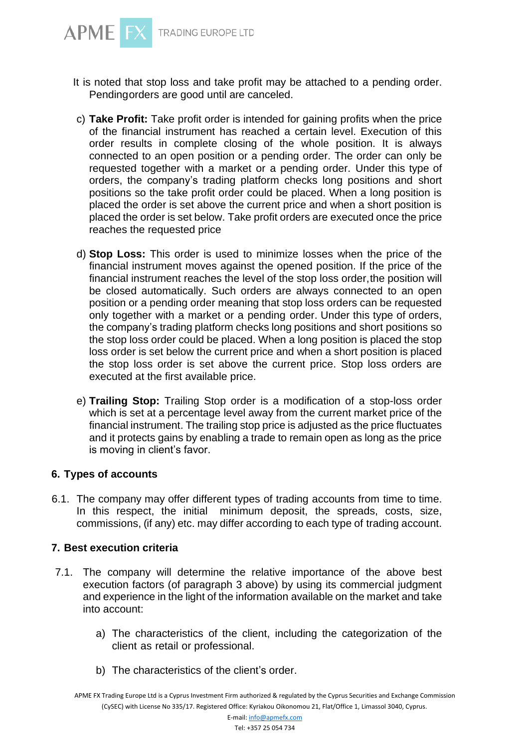

- It is noted that stop loss and take profit may be attached to a pending order. Pendingorders are good until are canceled.
- c) **Take Profit:** Take profit order is intended for gaining profits when the price of the financial instrument has reached a certain level. Execution of this order results in complete closing of the whole position. It is always connected to an open position or a pending order. The order can only be requested together with a market or a pending order. Under this type of orders, the company's trading platform checks long positions and short positions so the take profit order could be placed. When a long position is placed the order is set above the current price and when a short position is placed the order is set below. Take profit orders are executed once the price reaches the requested price
- d) **Stop Loss:** This order is used to minimize losses when the price of the financial instrument moves against the opened position. If the price of the financial instrument reaches the level of the stop loss order,the position will be closed automatically. Such orders are always connected to an open position or a pending order meaning that stop loss orders can be requested only together with a market or a pending order. Under this type of orders, the company's trading platform checks long positions and short positions so the stop loss order could be placed. When a long position is placed the stop loss order is set below the current price and when a short position is placed the stop loss order is set above the current price. Stop loss orders are executed at the first available price.
- e) **Trailing Stop:** Trailing Stop order is a modification of a stop-loss order which is set at a percentage level away from the current market price of the financial instrument. The trailing stop price is adjusted as the price fluctuates and it protects gains by enabling a trade to remain open as long as the price is moving in client's favor.

# **6. Types of accounts**

6.1. The company may offer different types of trading accounts from time to time. In this respect, the initial minimum deposit, the spreads, costs, size, commissions, (if any) etc. may differ according to each type of trading account.

#### **7. Best execution criteria**

- 7.1. The company will determine the relative importance of the above best execution factors (of paragraph 3 above) by using its commercial judgment and experience in the light of the information available on the market and take into account:
	- a) The characteristics of the client, including the categorization of the client as retail or professional.
	- b) The characteristics of the client's order.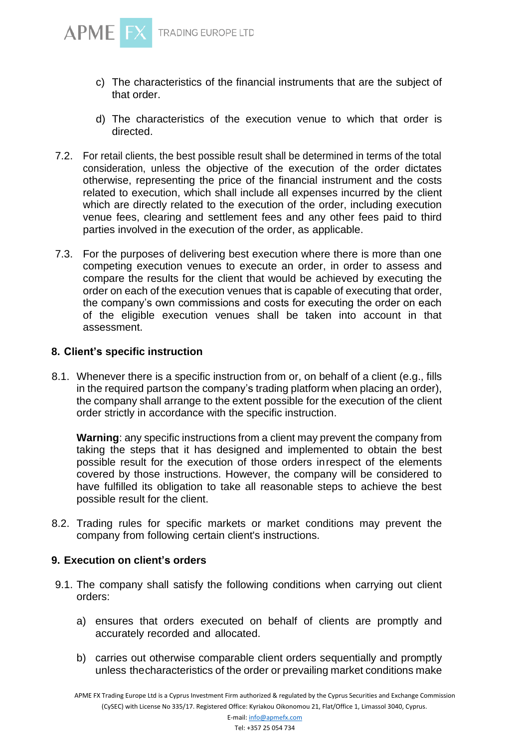

- c) The characteristics of the financial instruments that are the subject of that order.
- d) The characteristics of the execution venue to which that order is directed.
- 7.2. For retail clients, the best possible result shall be determined in terms of the total consideration, unless the objective of the execution of the order dictates otherwise, representing the price of the financial instrument and the costs related to execution, which shall include all expenses incurred by the client which are directly related to the execution of the order, including execution venue fees, clearing and settlement fees and any other fees paid to third parties involved in the execution of the order, as applicable.
- 7.3. For the purposes of delivering best execution where there is more than one competing execution venues to execute an order, in order to assess and compare the results for the client that would be achieved by executing the order on each of the execution venues that is capable of executing that order, the company's own commissions and costs for executing the order on each of the eligible execution venues shall be taken into account in that assessment.

#### **8. Client's specific instruction**

8.1. Whenever there is a specific instruction from or, on behalf of a client (e.g., fills in the required partson the company's trading platform when placing an order), the company shall arrange to the extent possible for the execution of the client order strictly in accordance with the specific instruction.

**Warning**: any specific instructions from a client may prevent the company from taking the steps that it has designed and implemented to obtain the best possible result for the execution of those orders inrespect of the elements covered by those instructions. However, the company will be considered to have fulfilled its obligation to take all reasonable steps to achieve the best possible result for the client.

8.2. Trading rules for specific markets or market conditions may prevent the company from following certain client's instructions.

# **9. Execution on client's orders**

- 9.1. The company shall satisfy the following conditions when carrying out client orders:
	- a) ensures that orders executed on behalf of clients are promptly and accurately recorded and allocated.
	- b) carries out otherwise comparable client orders sequentially and promptly unless thecharacteristics of the order or prevailing market conditions make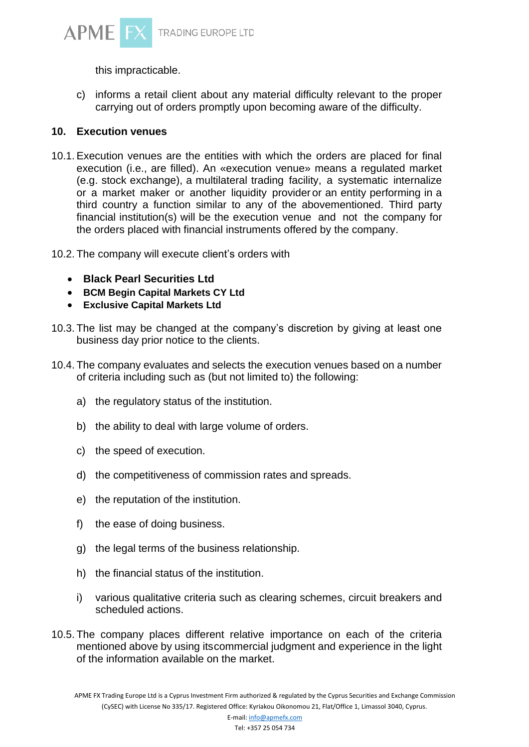

this impracticable.

c) informs a retail client about any material difficulty relevant to the proper carrying out of orders promptly upon becoming aware of the difficulty.

# **10. Execution venues**

- 10.1. Execution venues are the entities with which the orders are placed for final execution (i.e., are filled). An «execution venue» means a regulated market (e.g. stock exchange), a multilateral trading facility, a systematic internalize or a market maker or another liquidity provider or an entity performing in a third country a function similar to any of the abovementioned. Third party financial institution(s) will be the execution venue and not the company for the orders placed with financial instruments offered by the company.
- 10.2. The company will execute client's orders with
	- **Black Pearl Securities Ltd**
	- **BCM Begin Capital Markets CY Ltd**
	- **Exclusive Capital Markets Ltd**
- 10.3. The list may be changed at the company's discretion by giving at least one business day prior notice to the clients.
- 10.4. The company evaluates and selects the execution venues based on a number of criteria including such as (but not limited to) the following:
	- a) the regulatory status of the institution.
	- b) the ability to deal with large volume of orders.
	- c) the speed of execution.
	- d) the competitiveness of commission rates and spreads.
	- e) the reputation of the institution.
	- f) the ease of doing business.
	- g) the legal terms of the business relationship.
	- h) the financial status of the institution.
	- i) various qualitative criteria such as clearing schemes, circuit breakers and scheduled actions.
- 10.5. The company places different relative importance on each of the criteria mentioned above by using itscommercial judgment and experience in the light of the information available on the market.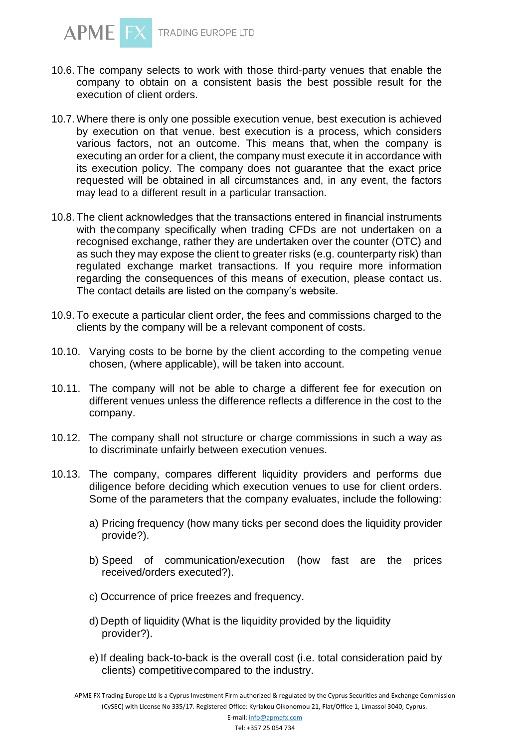

- 10.6. The company selects to work with those third-party venues that enable the company to obtain on a consistent basis the best possible result for the execution of client orders.
- 10.7. Where there is only one possible execution venue, best execution is achieved by execution on that venue. best execution is a process, which considers various factors, not an outcome. This means that, when the company is executing an order for a client, the company must execute it in accordance with its execution policy. The company does not guarantee that the exact price requested will be obtained in all circumstances and, in any event, the factors may lead to a different result in a particular transaction.
- 10.8. The client acknowledges that the transactions entered in financial instruments with the company specifically when trading CFDs are not undertaken on a recognised exchange, rather they are undertaken over the counter (OTC) and as such they may expose the client to greater risks (e.g. counterparty risk) than regulated exchange market transactions. If you require more information regarding the consequences of this means of execution, please contact us. The contact details are listed on the company's website.
- 10.9. To execute a particular client order, the fees and commissions charged to the clients by the company will be a relevant component of costs.
- 10.10. Varying costs to be borne by the client according to the competing venue chosen, (where applicable), will be taken into account.
- 10.11. The company will not be able to charge a different fee for execution on different venues unless the difference reflects a difference in the cost to the company.
- 10.12. The company shall not structure or charge commissions in such a way as to discriminate unfairly between execution venues.
- 10.13. The company, compares different liquidity providers and performs due diligence before deciding which execution venues to use for client orders. Some of the parameters that the company evaluates, include the following:
	- a) Pricing frequency (how many ticks per second does the liquidity provider provide?).
	- b) Speed of communication/execution (how fast are the prices received/orders executed?).
	- c) Occurrence of price freezes and frequency.
	- d) Depth of liquidity (What is the liquidity provided by the liquidity provider?).
	- e) If dealing back-to-back is the overall cost (i.e. total consideration paid by clients) competitivecompared to the industry.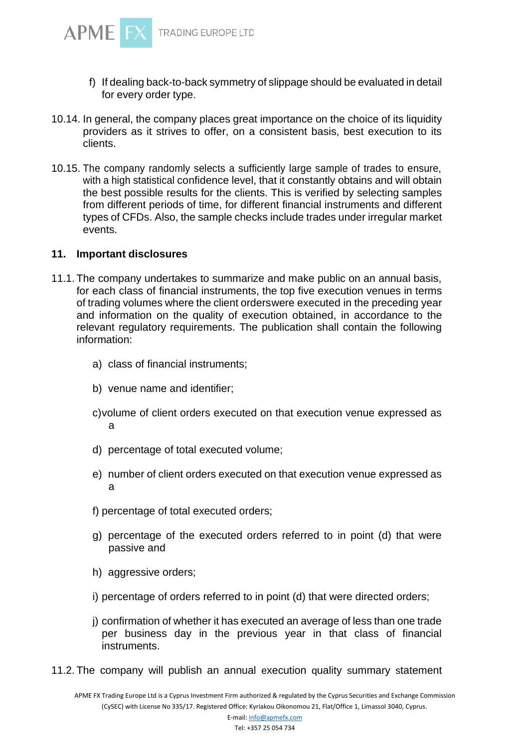![](_page_8_Picture_0.jpeg)

- f) If dealing back-to-back symmetry of slippage should be evaluated in detail for every order type.
- 10.14. In general, the company places great importance on the choice of its liquidity providers as it strives to offer, on a consistent basis, best execution to its clients.
- 10.15. The company randomly selects a sufficiently large sample of trades to ensure, with a high statistical confidence level, that it constantly obtains and will obtain the best possible results for the clients. This is verified by selecting samples from different periods of time, for different financial instruments and different types of CFDs. Also, the sample checks include trades under irregular market events.

#### **11. Important disclosures**

- 11.1. The company undertakes to summarize and make public on an annual basis, for each class of financial instruments, the top five execution venues in terms of trading volumes where the client orderswere executed in the preceding year and information on the quality of execution obtained, in accordance to the relevant regulatory requirements. The publication shall contain the following information:
	- a) class of financial instruments;
	- b) venue name and identifier;
	- c)volume of client orders executed on that execution venue expressed as a
	- d) percentage of total executed volume;
	- e) number of client orders executed on that execution venue expressed as a
	- f) percentage of total executed orders;
	- g) percentage of the executed orders referred to in point (d) that were passive and
	- h) aggressive orders;
	- i) percentage of orders referred to in point (d) that were directed orders;
	- j) confirmation of whether it has executed an average of less than one trade per business day in the previous year in that class of financial instruments.
- 11.2. The company will publish an annual execution quality summary statement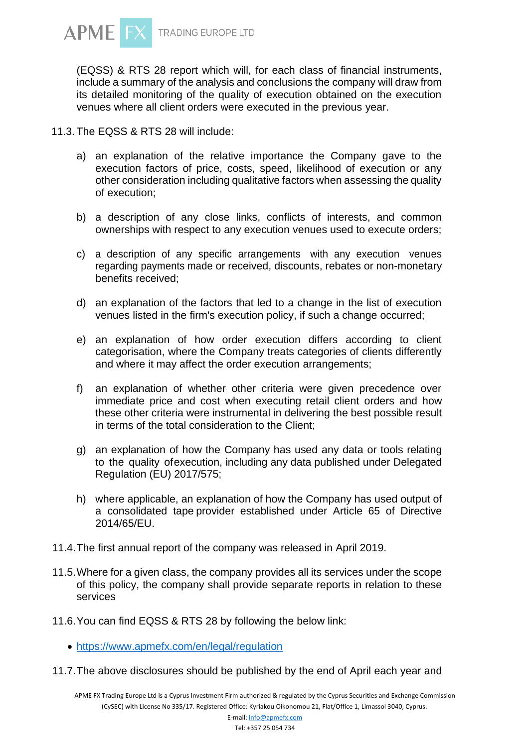![](_page_9_Picture_0.jpeg)

(EQSS) & RTS 28 report which will, for each class of financial instruments, include a summary of the analysis and conclusions the company will draw from its detailed monitoring of the quality of execution obtained on the execution venues where all client orders were executed in the previous year.

11.3. The EQSS & RTS 28 will include:

- a) an explanation of the relative importance the Company gave to the execution factors of price, costs, speed, likelihood of execution or any other consideration including qualitative factors when assessing the quality of execution;
- b) a description of any close links, conflicts of interests, and common ownerships with respect to any execution venues used to execute orders;
- c) a description of any specific arrangements with any execution venues regarding payments made or received, discounts, rebates or non-monetary benefits received;
- d) an explanation of the factors that led to a change in the list of execution venues listed in the firm's execution policy, if such a change occurred;
- e) an explanation of how order execution differs according to client categorisation, where the Company treats categories of clients differently and where it may affect the order execution arrangements;
- f) an explanation of whether other criteria were given precedence over immediate price and cost when executing retail client orders and how these other criteria were instrumental in delivering the best possible result in terms of the total consideration to the Client;
- g) an explanation of how the Company has used any data or tools relating to the quality ofexecution, including any data published under Delegated Regulation (EU) 2017/575;
- h) where applicable, an explanation of how the Company has used output of a consolidated tape provider established under Article 65 of Directive 2014/65/EU.
- 11.4.The first annual report of the company was released in April 2019.
- 11.5.Where for a given class, the company provides all its services under the scope of this policy, the company shall provide separate reports in relation to these services
- 11.6.You can find EQSS & RTS 28 by following the below link:
	- <https://www.apmefx.com/en/legal/regulation>
- 11.7.The above disclosures should be published by the end of April each year and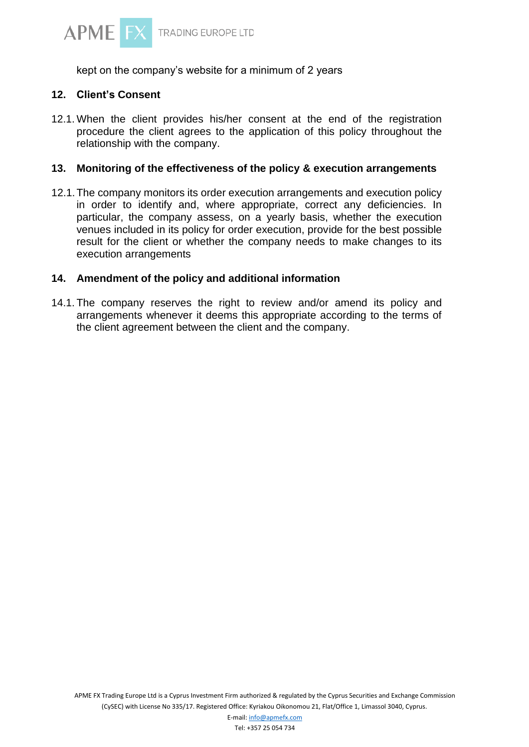![](_page_10_Picture_0.jpeg)

kept on the company's website for a minimum of 2 years

#### **12. Client's Consent**

12.1. When the client provides his/her consent at the end of the registration procedure the client agrees to the application of this policy throughout the relationship with the company.

#### **13. Monitoring of the effectiveness of the policy & execution arrangements**

12.1.The company monitors its order execution arrangements and execution policy in order to identify and, where appropriate, correct any deficiencies. In particular, the company assess, on a yearly basis, whether the execution venues included in its policy for order execution, provide for the best possible result for the client or whether the company needs to make changes to its execution arrangements

# **14. Amendment of the policy and additional information**

14.1. The company reserves the right to review and/or amend its policy and arrangements whenever it deems this appropriate according to the terms of the client agreement between the client and the company.